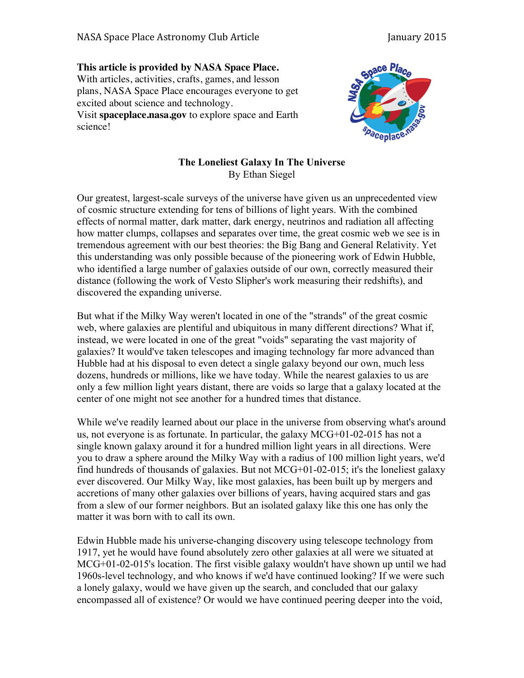## **This article is provided by NASA Space Place.** With articles, activities, crafts, games, and lesson plans, NASA Space Place encourages everyone to get excited about science and technology.

Visit **spaceplace.nasa.gov** to explore space and Earth science!



## **The Loneliest Galaxy In The Universe** By Ethan Siegel

Our greatest, largest-scale surveys of the universe have given us an unprecedented view of cosmic structure extending for tens of billions of light years. With the combined effects of normal matter, dark matter, dark energy, neutrinos and radiation all affecting how matter clumps, collapses and separates over time, the great cosmic web we see is in tremendous agreement with our best theories: the Big Bang and General Relativity. Yet this understanding was only possible because of the pioneering work of Edwin Hubble, who identified a large number of galaxies outside of our own, correctly measured their distance (following the work of Vesto Slipher's work measuring their redshifts), and discovered the expanding universe.

But what if the Milky Way weren't located in one of the "strands" of the great cosmic web, where galaxies are plentiful and ubiquitous in many different directions? What if, instead, we were located in one of the great "voids" separating the vast majority of galaxies? It would've taken telescopes and imaging technology far more advanced than Hubble had at his disposal to even detect a single galaxy beyond our own, much less dozens, hundreds or millions, like we have today. While the nearest galaxies to us are only a few million light years distant, there are voids so large that a galaxy located at the center of one might not see another for a hundred times that distance.

While we've readily learned about our place in the universe from observing what's around us, not everyone is as fortunate. In particular, the galaxy  $MCG+01-02-015$  has not a single known galaxy around it for a hundred million light years in all directions. Were you to draw a sphere around the Milky Way with a radius of 100 million light years, we'd find hundreds of thousands of galaxies. But not MCG+01-02-015; it's the loneliest galaxy ever discovered. Our Milky Way, like most galaxies, has been built up by mergers and accretions of many other galaxies over billions of years, having acquired stars and gas from a slew of our former neighbors. But an isolated galaxy like this one has only the matter it was born with to call its own.

Edwin Hubble made his universe-changing discovery using telescope technology from 1917, yet he would have found absolutely zero other galaxies at all were we situated at MCG+01-02-015's location. The first visible galaxy wouldn't have shown up until we had 1960s-level technology, and who knows if we'd have continued looking? If we were such a lonely galaxy, would we have given up the search, and concluded that our galaxy encompassed all of existence? Or would we have continued peering deeper into the void,